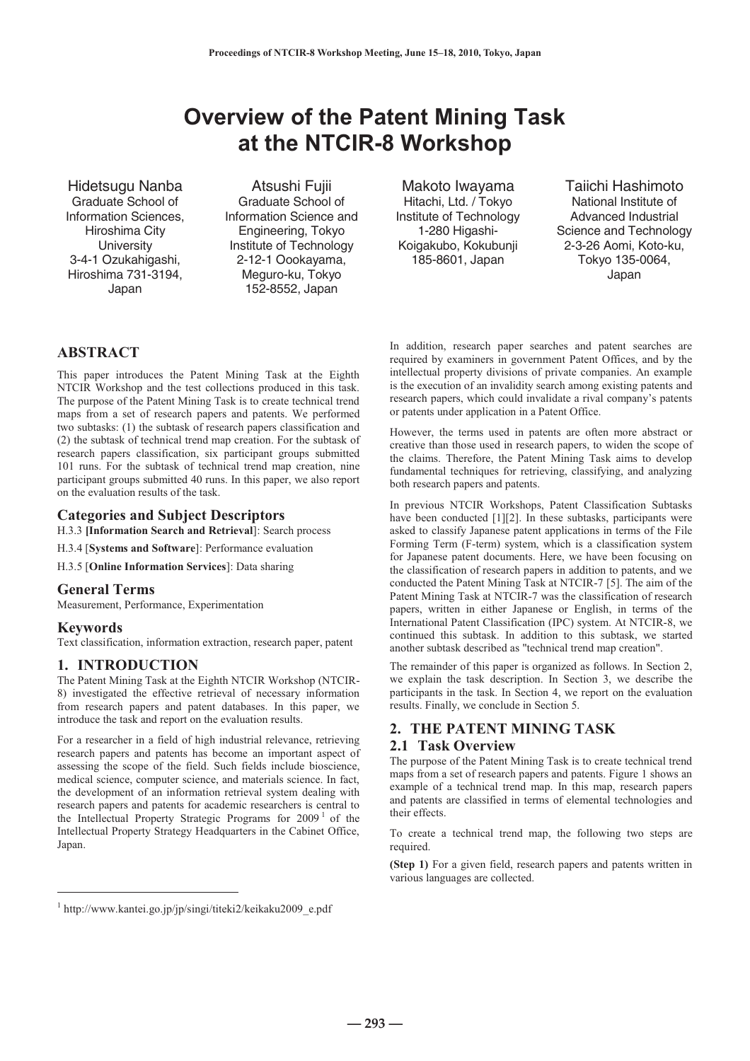# **Overview of the Patent Mining Task<br>at the NTCIR-8 Workshop at the NTCIR-8 Workshop**

Graduate School of Information Sciences, Hiroshima City **University** 3-4-1 Ozukahigashi, Hiroshima 731-3194, Japan

Graduate School of Information Science and Engineering, Tokyo Institute of Technology 2-12-1 Oookayama, Meguro-ku, Tokyo 152-8552, Japan

Hitachi, Ltd. / Tokyo Institute of Technology 1-280 Higashi-Koigakubo, Kokubunji 185-8601, Japan

Hidetsugu Nanba **Atsushi Fujii** Makoto Iwayama Taiichi Hashimoto National Institute of Advanced Industrial Science and Technology 2-3-26 Aomi, Koto-ku, Tokyo 135-0064, Japan

# **ABSTRACT**

This paper introduces the Patent Mining Task at the Eighth NTCIR Workshop and the test collections produced in this task. The purpose of the Patent Mining Task is to create technical trend maps from a set of research papers and patents. We performed two subtasks: (1) the subtask of research papers classification and (2) the subtask of technical trend map creation. For the subtask of research papers classification, six participant groups submitted 101 runs. For the subtask of technical trend map creation, nine participant groups submitted 40 runs. In this paper, we also report on the evaluation results of the task.

# **Categories and Subject Descriptors**

H.3.3 **[Information Search and Retrieval**]: Search process

H.3.4 [**Systems and Software**]: Performance evaluation

H.3.5 [**Online Information Services**]: Data sharing

# **General Terms**

Measurement, Performance, Experimentation

# **Keywords**

 $\overline{a}$ 

Text classification, information extraction, research paper, patent

# **1. INTRODUCTION**

The Patent Mining Task at the Eighth NTCIR Workshop (NTCIR-8) investigated the effective retrieval of necessary information from research papers and patent databases. In this paper, we introduce the task and report on the evaluation results.

For a researcher in a field of high industrial relevance, retrieving research papers and patents has become an important aspect of assessing the scope of the field. Such fields include bioscience, medical science, computer science, and materials science. In fact, the development of an information retrieval system dealing with research papers and patents for academic researchers is central to the Intellectual Property Strategic Programs for  $2009<sup>1</sup>$  of the Intellectual Property Strategy Headquarters in the Cabinet Office, Japan.

In addition, research paper searches and patent searches are required by examiners in government Patent Offices, and by the intellectual property divisions of private companies. An example is the execution of an invalidity search among existing patents and research papers, which could invalidate a rival company's patents or patents under application in a Patent Office.

However, the terms used in patents are often more abstract or creative than those used in research papers, to widen the scope of the claims. Therefore, the Patent Mining Task aims to develop fundamental techniques for retrieving, classifying, and analyzing both research papers and patents.

In previous NTCIR Workshops, Patent Classification Subtasks have been conducted [1][2]. In these subtasks, participants were asked to classify Japanese patent applications in terms of the File Forming Term (F-term) system, which is a classification system for Japanese patent documents. Here, we have been focusing on the classification of research papers in addition to patents, and we conducted the Patent Mining Task at NTCIR-7 [5]. The aim of the Patent Mining Task at NTCIR-7 was the classification of research papers, written in either Japanese or English, in terms of the International Patent Classification (IPC) system. At NTCIR-8, we continued this subtask. In addition to this subtask, we started another subtask described as "technical trend map creation".

The remainder of this paper is organized as follows. In Section 2, we explain the task description. In Section 3, we describe the participants in the task. In Section 4, we report on the evaluation results. Finally, we conclude in Section 5.

# **2. THE PATENT MINING TASK**

#### **2.1 Task Overview**

The purpose of the Patent Mining Task is to create technical trend maps from a set of research papers and patents. Figure 1 shows an example of a technical trend map. In this map, research papers and patents are classified in terms of elemental technologies and their effects.

To create a technical trend map, the following two steps are required.

**(Step 1)** For a given field, research papers and patents written in various languages are collected.

**― 293 ―**

<sup>1</sup> http://www.kantei.go.jp/jp/singi/titeki2/keikaku2009\_e.pdf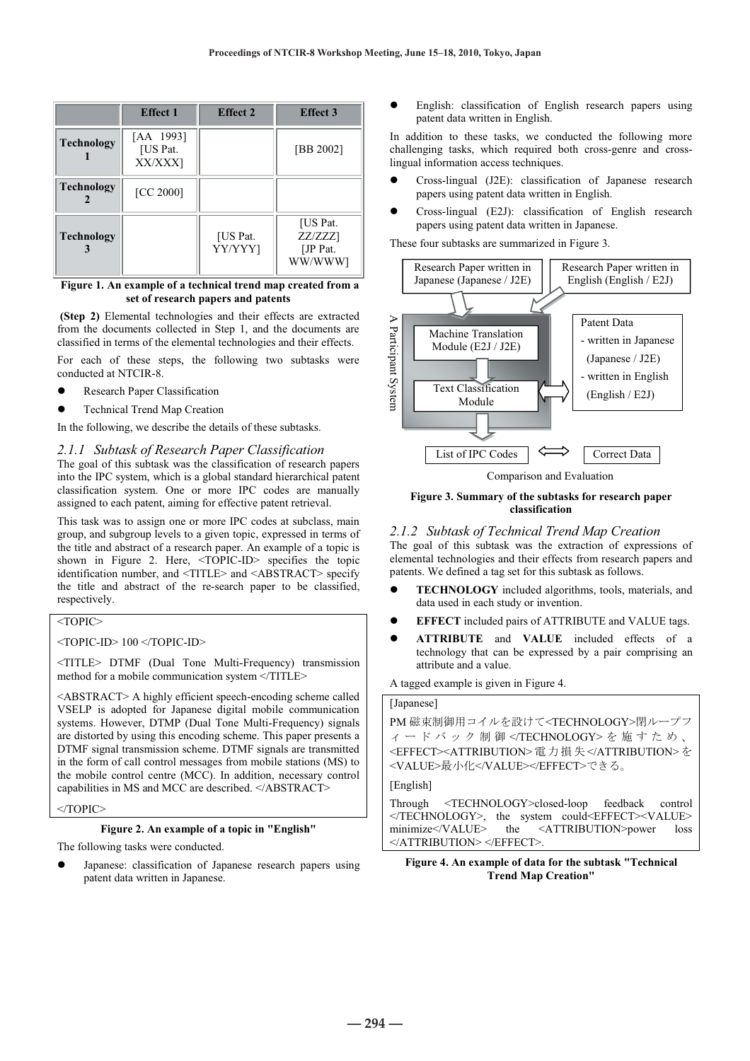|                   | <b>Effect 1</b>                  | <b>Effect 2</b>     | <b>Effect 3</b>                            |
|-------------------|----------------------------------|---------------------|--------------------------------------------|
| <b>Technology</b> | [AA 1993]<br>[US Pat.<br>XX/XXX] |                     | [BB 2002]                                  |
| <b>Technology</b> | [CC 2000]                        |                     |                                            |
| <b>Technology</b> |                                  | [US Pat.<br>YY/YYY] | [US Pat.<br>ZZ/ZZZ1<br>[JP Pat.<br>WW/WWW] |

**Figure 1. An example of a technical trend map created from a set of research papers and patents** 

**(Step 2)** Elemental technologies and their effects are extracted from the documents collected in Step 1, and the documents are classified in terms of the elemental technologies and their effects.

For each of these steps, the following two subtasks were conducted at NTCIR-8.

- Research Paper Classification
- Technical Trend Map Creation

In the following, we describe the details of these subtasks.

# *2.1.1 Subtask of Research Paper Classification*

The goal of this subtask was the classification of research papers into the IPC system, which is a global standard hierarchical patent classification system. One or more IPC codes are manually assigned to each patent, aiming for effective patent retrieval.

This task was to assign one or more IPC codes at subclass, main group, and subgroup levels to a given topic, expressed in terms of the title and abstract of a research paper. An example of a topic is shown in Figure 2. Here, <TOPIC-ID> specifies the topic identification number, and <TITLE> and <ABSTRACT> specify the title and abstract of the re-search paper to be classified, respectively.

# <TOPIC>

<TOPIC-ID> 100 </TOPIC-ID>

<TITLE> DTMF (Dual Tone Multi-Frequency) transmission method for a mobile communication system </TITLE>

<ABSTRACT> A highly efficient speech-encoding scheme called VSELP is adopted for Japanese digital mobile communication systems. However, DTMP (Dual Tone Multi-Frequency) signals are distorted by using this encoding scheme. This paper presents a DTMF signal transmission scheme. DTMF signals are transmitted in the form of call control messages from mobile stations (MS) to the mobile control centre (MCC). In addition, necessary control capabilities in MS and MCC are described. </ABSTRACT>

</TOPIC>

#### **Figure 2. An example of a topic in "English"**

The following tasks were conducted.

Japanese: classification of Japanese research papers using patent data written in Japanese.

English: classification of English research papers using patent data written in English.

In addition to these tasks, we conducted the following more challenging tasks, which required both cross-genre and crosslingual information access techniques.

- z Cross-lingual (J2E): classification of Japanese research papers using patent data written in English.
- z Cross-lingual (E2J): classification of English research papers using patent data written in Japanese.

These four subtasks are summarized in Figure 3.



Comparison and Evaluation

#### **Figure 3. Summary of the subtasks for research paper classification**

# *2.1.2 Subtask of Technical Trend Map Creation*

The goal of this subtask was the extraction of expressions of elemental technologies and their effects from research papers and patents. We defined a tag set for this subtask as follows.

- **TECHNOLOGY** included algorithms, tools, materials, and data used in each study or invention.
- **EFFECT** included pairs of ATTRIBUTE and VALUE tags.
- z **ATTRIBUTE** and **VALUE** included effects of a technology that can be expressed by a pair comprising an attribute and a value.

A tagged example is given in Figure 4.

#### [Japanese]

```
PM 磁束制御用コイルを設けて<TECHNOLOGY>閉ループフ
ィードバック制御</TECHNOLOGY>を施すため、
<EFFECT><ATTRIBUTION> 電力損失</ATTRIBUTION> を
<VALUE>最小化</VALUE></EFFECT>できる。
```
#### [English]

Through <TECHNOLOGY>closed-loop feedback control </TECHNOLOGY>, the system could<EFFECT><VALUE> minimize</VALUE> the <ATTRIBUTION>power loss </ATTRIBUTION> </EFFECT>.

#### **Figure 4. An example of data for the subtask "Technical Trend Map Creation"**

**― 294 ―**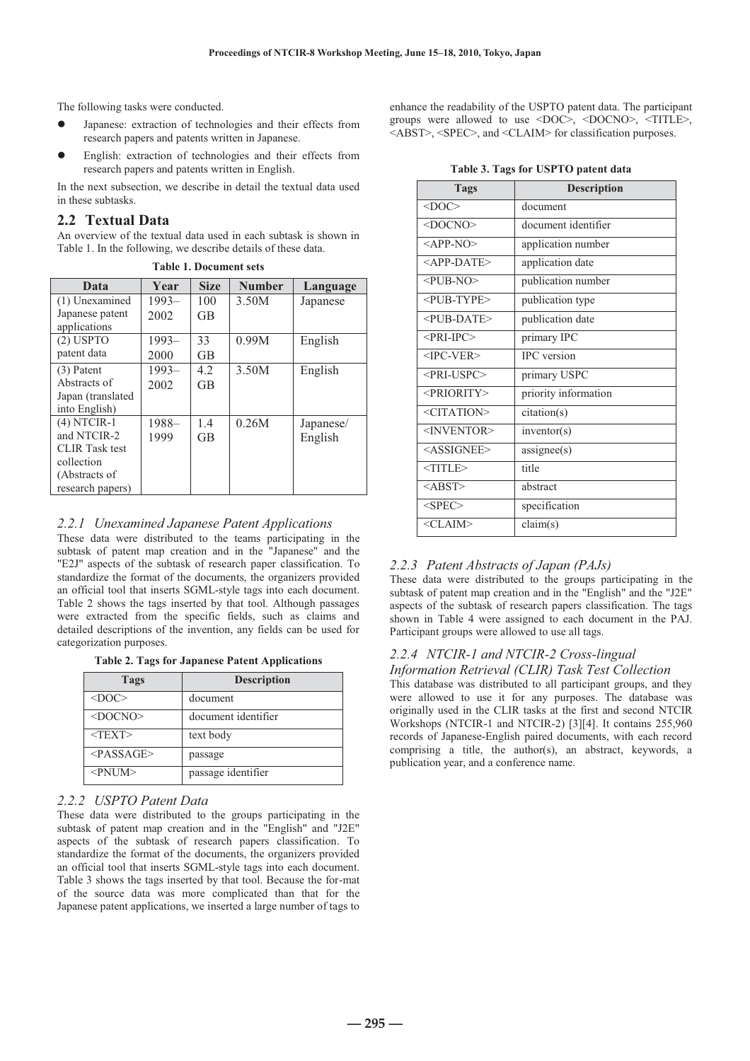The following tasks were conducted.

- Japanese: extraction of technologies and their effects from research papers and patents written in Japanese.
- English: extraction of technologies and their effects from research papers and patents written in English.

In the next subsection, we describe in detail the textual data used in these subtasks.

# **2.2 Textual Data**

An overview of the textual data used in each subtask is shown in Table 1. In the following, we describe details of these data.

| Data                  | Year     | <b>Size</b> | <b>Number</b> | Language  |
|-----------------------|----------|-------------|---------------|-----------|
| (1) Unexamined        | $1993-$  | 100         | 3.50M         | Japanese  |
| Japanese patent       | 2002     | <b>GB</b>   |               |           |
| applications          |          |             |               |           |
| $(2)$ USPTO           | $1993-$  | 33          | 0.99M         | English   |
| patent data           | 2000     | <b>GB</b>   |               |           |
| $(3)$ Patent          | $1993 -$ | 4.2         | 3.50M         | English   |
| Abstracts of          | 2002     | <b>GB</b>   |               |           |
| Japan (translated)    |          |             |               |           |
| into English)         |          |             |               |           |
| $(4)$ NTCIR-1         | 1988-    | 1.4         | 0.26M         | Japanese/ |
| and NTCIR-2           | 1999     | <b>GB</b>   |               | English   |
| <b>CLIR</b> Task test |          |             |               |           |
| collection            |          |             |               |           |
| (Abstracts of         |          |             |               |           |
| research papers)      |          |             |               |           |

**Table 1. Document sets** 

# *2.2.1 Unexamined Japanese Patent Applications*

These data were distributed to the teams participating in the subtask of patent map creation and in the "Japanese" and the "E2J" aspects of the subtask of research paper classification. To standardize the format of the documents, the organizers provided an official tool that inserts SGML-style tags into each document. Table 2 shows the tags inserted by that tool. Although passages were extracted from the specific fields, such as claims and detailed descriptions of the invention, any fields can be used for categorization purposes.

**Table 2. Tags for Japanese Patent Applications** 

| Tags            | <b>Description</b>  |
|-----------------|---------------------|
| $<$ DOC $>$     | document            |
| $<$ DOCNO>      | document identifier |
| $<$ TEXT $>$    | text body           |
| $<$ PASSAGE>    | passage             |
| $\leq$ PNUM $>$ | passage identifier  |

# *2.2.2 USPTO Patent Data*

These data were distributed to the groups participating in the subtask of patent map creation and in the "English" and "J2E" aspects of the subtask of research papers classification. To standardize the format of the documents, the organizers provided an official tool that inserts SGML-style tags into each document. Table 3 shows the tags inserted by that tool. Because the for-mat of the source data was more complicated than that for the Japanese patent applications, we inserted a large number of tags to

enhance the readability of the USPTO patent data. The participant groups were allowed to use <DOC>, <DOCNO>, <TITLE>, <ABST>, <SPEC>, and <CLAIM> for classification purposes.

**Table 3. Tags for USPTO patent data** 

| <b>Tags</b>                            | <b>Description</b>   |
|----------------------------------------|----------------------|
| $<$ DOC $>$                            | document             |
| <docno></docno>                        | document identifier  |
| $\langle$ APP-NO>                      | application number   |
| $<$ APP-DATE>                          | application date     |
| $\langle$ PUB-NO $>$                   | publication number   |
| <pub-type></pub-type>                  | publication type     |
| <pub-date></pub-date>                  | publication date     |
| $\leq$ PRI-IPC $>$                     | primary IPC          |
| $<$ IPC-VER>                           | <b>IPC</b> version   |
| <pri-uspc></pri-uspc>                  | primary USPC         |
| <priority></priority>                  | priority information |
| $\leq$ CITATION>                       | citation(s)          |
| <inventor></inventor>                  | inventor(s)          |
| <assignee></assignee>                  | assignment(s)        |
| $<$ TITLE $>$                          | title                |
| <abst< td=""><td>abstract</td></abst<> | abstract             |
| $<$ SPEC>                              | specification        |
| $<$ CLAIM>                             | claim(s)             |

# *2.2.3 Patent Abstracts of Japan (PAJs)*

These data were distributed to the groups participating in the subtask of patent map creation and in the "English" and the "J2E" aspects of the subtask of research papers classification. The tags shown in Table 4 were assigned to each document in the PAJ. Participant groups were allowed to use all tags.

# *2.2.4 NTCIR-1 and NTCIR-2 Cross-lingual*

# *Information Retrieval (CLIR) Task Test Collection*

This database was distributed to all participant groups, and they were allowed to use it for any purposes. The database was originally used in the CLIR tasks at the first and second NTCIR Workshops (NTCIR-1 and NTCIR-2) [3][4]. It contains 255,960 records of Japanese-English paired documents, with each record comprising a title, the author(s), an abstract, keywords, a publication year, and a conference name.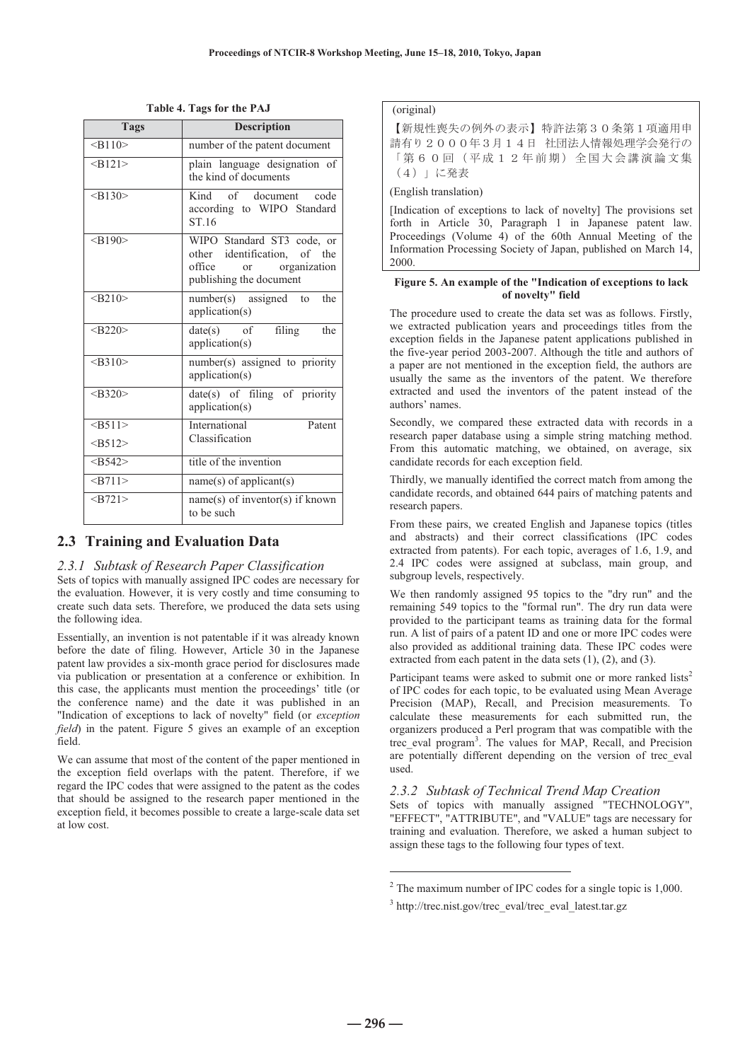| <b>Tags</b> | <b>Description</b>                                                                                                            |
|-------------|-------------------------------------------------------------------------------------------------------------------------------|
| $<$ B110>   | number of the patent document                                                                                                 |
| $<$ B121>   | plain language designation of<br>the kind of documents                                                                        |
| $-B130$     | of document<br>Kind<br>code<br>according to WIPO Standard<br>ST.16                                                            |
| $<$ B190>   | WIPO Standard ST3 code, or<br>other identification, of the<br>office<br>organization<br>$\alpha$ r<br>publishing the document |
| < B210      | $number(s)$ assigned to<br>the<br>application(s)                                                                              |
| < B220      | filing<br>$date(s)$ of<br>the<br>application(s)                                                                               |
| $<$ B310>   | number(s) assigned to priority<br>application(s)                                                                              |
| < B320      | date(s) of filing of priority<br>application(s)                                                                               |
| $<$ B511>   | International<br>Patent                                                                                                       |
| $<$ B512>   | Classification                                                                                                                |
| $<$ B542>   | title of the invention                                                                                                        |
| $<$ B711>   | $name(s)$ of applicant(s)                                                                                                     |
| $<$ B721>   | name(s) of inventor(s) if known<br>to be such                                                                                 |

**Table 4. Tags for the PAJ** 

# **2.3 Training and Evaluation Data**

#### *2.3.1 Subtask of Research Paper Classification*

Sets of topics with manually assigned IPC codes are necessary for the evaluation. However, it is very costly and time consuming to create such data sets. Therefore, we produced the data sets using the following idea.

Essentially, an invention is not patentable if it was already known before the date of filing. However, Article 30 in the Japanese patent law provides a six-month grace period for disclosures made via publication or presentation at a conference or exhibition. In this case, the applicants must mention the proceedings' title (or the conference name) and the date it was published in an "Indication of exceptions to lack of novelty" field (or *exception field*) in the patent. Figure 5 gives an example of an exception field.

We can assume that most of the content of the paper mentioned in the exception field overlaps with the patent. Therefore, if we regard the IPC codes that were assigned to the patent as the codes that should be assigned to the research paper mentioned in the exception field, it becomes possible to create a large-scale data set at low cost.

## (original)

【新規性喪失の例外の表示】特許法第30条第1項適用申 請有り2000年3月14日 社団法人情報処理学会発行の 〔第60回(平成12年前期)全国大会講演論文集 (4)」に発表

(English translation)

[Indication of exceptions to lack of novelty] The provisions set forth in Article 30, Paragraph 1 in Japanese patent law. Proceedings (Volume 4) of the 60th Annual Meeting of the Information Processing Society of Japan, published on March 14, 2000.

#### **Figure 5. An example of the "Indication of exceptions to lack of novelty" field**

The procedure used to create the data set was as follows. Firstly, we extracted publication years and proceedings titles from the exception fields in the Japanese patent applications published in the five-year period 2003-2007. Although the title and authors of a paper are not mentioned in the exception field, the authors are usually the same as the inventors of the patent. We therefore extracted and used the inventors of the patent instead of the authors' names.

Secondly, we compared these extracted data with records in a research paper database using a simple string matching method. From this automatic matching, we obtained, on average, six candidate records for each exception field.

Thirdly, we manually identified the correct match from among the candidate records, and obtained 644 pairs of matching patents and research papers.

From these pairs, we created English and Japanese topics (titles and abstracts) and their correct classifications (IPC codes extracted from patents). For each topic, averages of 1.6, 1.9, and 2.4 IPC codes were assigned at subclass, main group, and subgroup levels, respectively.

We then randomly assigned 95 topics to the "dry run" and the remaining 549 topics to the "formal run". The dry run data were provided to the participant teams as training data for the formal run. A list of pairs of a patent ID and one or more IPC codes were also provided as additional training data. These IPC codes were extracted from each patent in the data sets  $(1)$ ,  $(2)$ , and  $(3)$ .

Participant teams were asked to submit one or more ranked lists<sup>2</sup> of IPC codes for each topic, to be evaluated using Mean Average Precision (MAP), Recall, and Precision measurements. To calculate these measurements for each submitted run, the organizers produced a Perl program that was compatible with the trec\_eval program<sup>3</sup> . The values for MAP, Recall, and Precision are potentially different depending on the version of trec\_eval used.

# *2.3.2 Subtask of Technical Trend Map Creation*

Sets of topics with manually assigned "TECHNOLOGY", "EFFECT", "ATTRIBUTE", and "VALUE" tags are necessary for training and evaluation. Therefore, we asked a human subject to assign these tags to the following four types of text.

-

 $2^2$  The maximum number of IPC codes for a single topic is 1,000.

<sup>3</sup> http://trec.nist.gov/trec\_eval/trec\_eval\_latest.tar.gz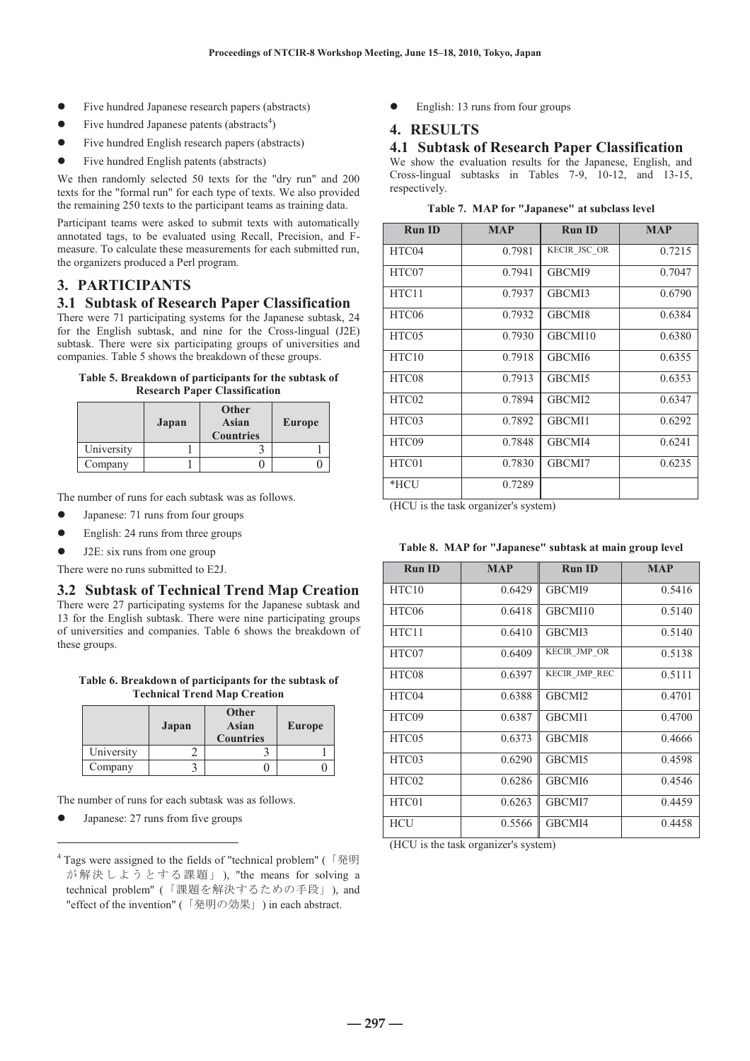- Five hundred Japanese research papers (abstracts)
- $\bullet$  Five hundred Japanese patents (abstracts<sup>4</sup>)
- Five hundred English research papers (abstracts)
- Five hundred English patents (abstracts)

We then randomly selected 50 texts for the "dry run" and 200 texts for the "formal run" for each type of texts. We also provided the remaining 250 texts to the participant teams as training data.

Participant teams were asked to submit texts with automatically annotated tags, to be evaluated using Recall, Precision, and Fmeasure. To calculate these measurements for each submitted run, the organizers produced a Perl program.

# **3. PARTICIPANTS**

#### **3.1 Subtask of Research Paper Classification**

There were 71 participating systems for the Japanese subtask, 24 for the English subtask, and nine for the Cross-lingual (J2E) subtask. There were six participating groups of universities and companies. Table 5 shows the breakdown of these groups.

#### **Table 5. Breakdown of participants for the subtask of Research Paper Classification**

|            | Japan | <b>Other</b><br>Asian<br><b>Countries</b> | <b>Europe</b> |
|------------|-------|-------------------------------------------|---------------|
| University |       |                                           |               |
| Company    |       |                                           |               |

The number of runs for each subtask was as follows.

- Japanese: 71 runs from four groups
- $\bullet$  English: 24 runs from three groups
- J2E: six runs from one group
- There were no runs submitted to E2J.

# **3.2 Subtask of Technical Trend Map Creation**

There were 27 participating systems for the Japanese subtask and 13 for the English subtask. There were nine participating groups of universities and companies. Table 6 shows the breakdown of these groups.

**Table 6. Breakdown of participants for the subtask of Technical Trend Map Creation** 

|            | Japan | Other<br><b>Asian</b><br><b>Countries</b> | <b>Europe</b> |
|------------|-------|-------------------------------------------|---------------|
| University |       |                                           |               |
| Company    |       |                                           |               |

The number of runs for each subtask was as follows.

Japanese: 27 runs from five groups

<u>.</u>

English: 13 runs from four groups

# **4. RESULTS**

#### **4.1 Subtask of Research Paper Classification**

We show the evaluation results for the Japanese, English, and Cross-lingual subtasks in Tables 7-9, 10-12, and 13-15, respectively.

|  |  |  | Table 7. MAP for "Japanese" at subclass level |  |  |  |
|--|--|--|-----------------------------------------------|--|--|--|
|--|--|--|-----------------------------------------------|--|--|--|

| <b>Run ID</b>     | <b>MAP</b> | <b>Run ID</b> | <b>MAP</b> |
|-------------------|------------|---------------|------------|
| HTC04             | 0.7981     | KECIR JSC OR  | 0.7215     |
| HTC07             | 0.7941     | GBCMI9        | 0.7047     |
| HTC11             | 0.7937     | GBCMI3        | 0.6790     |
| HTC06             | 0.7932     | GBCMI8        | 0.6384     |
| HTC <sub>05</sub> | 0.7930     | GBCMI10       | 0.6380     |
| HTC10             | 0.7918     | GBCMI6        | 0.6355     |
| HTC08             | 0.7913     | GBCMI5        | 0.6353     |
| HTC02             | 0.7894     | GBCMI2        | 0.6347     |
| HTC03             | 0.7892     | GBCMI1        | 0.6292     |
| HTC09             | 0.7848     | GBCMI4        | 0.6241     |
| HTC01             | 0.7830     | GBCMI7        | 0.6235     |
| *HCU              | 0.7289     |               |            |

(HCU is the task organizer's system)

| Table 8. MAP for "Japanese" subtask at main group level |  |  |  |  |  |
|---------------------------------------------------------|--|--|--|--|--|
|---------------------------------------------------------|--|--|--|--|--|

| <b>Run ID</b> | <b>MAP</b> | <b>Run ID</b> | <b>MAP</b> |
|---------------|------------|---------------|------------|
| HTC10         | 0.6429     | GBCMI9        | 0.5416     |
| HTC06         | 0.6418     | GBCMI10       | 0.5140     |
| HTC11         | 0.6410     | GBCMI3        | 0.5140     |
| HTC07         | 0.6409     | KECIR JMP OR  | 0.5138     |
| HTC08         | 0.6397     | KECIR JMP REC | 0.5111     |
| HTC04         | 0.6388     | GBCMI2        | 0.4701     |
| HTC09         | 0.6387     | GBCMI1        | 0.4700     |
| HTC05         | 0.6373     | GBCMI8        | 0.4666     |
| HTC03         | 0.6290     | GBCMI5        | 0.4598     |
| HTC02         | 0.6286     | GBCMI6        | 0.4546     |
| HTC01         | 0.6263     | GBCMI7        | 0.4459     |
| <b>HCU</b>    | 0.5566     | GBCMI4        | 0.4458     |

(HCU is the task organizer's system)

<sup>&</sup>lt;sup>4</sup> Tags were assigned to the fields of "technical problem" (「発明 が解決しようとする課題」), "the means for solving a technical problem" (「課題を解決するための手段」), and "effect of the invention" (「発明の効果」) in each abstract.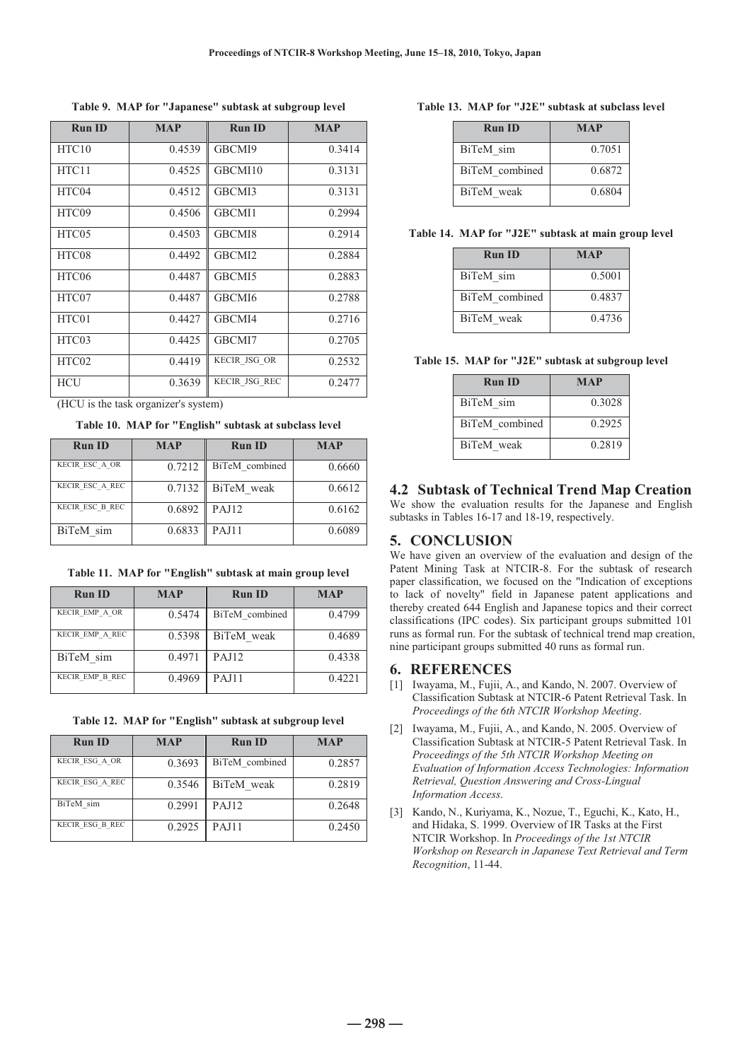**Table 9. MAP for "Japanese" subtask at subgroup level** 

| <b>Run ID</b> | <b>MAP</b> | <b>Run ID</b>      | <b>MAP</b> |
|---------------|------------|--------------------|------------|
| HTC10         | 0.4539     | GBCMI9             | 0.3414     |
| HTC11         | 0.4525     | GBCMI10            | 0.3131     |
| HTC04         | 0.4512     | GBCMI3             | 0.3131     |
| HTC09         | 0.4506     | GBCMI1             | 0.2994     |
| HTC05         | 0.4503     | GBCMI8             | 0.2914     |
| HTC08         | 0.4492     | GBCMI <sub>2</sub> | 0.2884     |
| HTC06         | 0.4487     | GBCMI5             | 0.2883     |
| HTC07         | 0.4487     | GBCMI6             | 0.2788     |
| HTC01         | 0.4427     | GBCMI4             | 0.2716     |
| HTC03         | 0.4425     | GBCMI7             | 0.2705     |
| HTC02         | 0.4419     | KECIR JSG OR       | 0.2532     |
| <b>HCU</b>    | 0.3639     | KECIR JSG REC      | 0.2477     |

(HCU is the task organizer's system)

**Table 10. MAP for "English" subtask at subclass level** 

| <b>Run ID</b>   | <b>MAP</b> | <b>Run ID</b>  | <b>MAP</b> |
|-----------------|------------|----------------|------------|
| KECIR ESC A OR  | 0.7212     | BiTeM combined | 0.6660     |
| KECIR ESC A REC | 0.7132     | BiTeM weak     | 0.6612     |
| KECIR ESC B REC | 0.6892     | <b>PAJ12</b>   | 0.6162     |
| BiTeM sim       | 0.6833     | <b>PAJ11</b>   | 0.6089     |

**Table 11. MAP for "English" subtask at main group level** 

| <b>Run ID</b>   | <b>MAP</b> | <b>Run ID</b>  | <b>MAP</b> |
|-----------------|------------|----------------|------------|
| KECIR EMP A OR  | 0.5474     | BiTeM combined | 0.4799     |
| KECIR EMP A REC | 0.5398     | BiTeM weak     | 0.4689     |
| BiTeM sim       | 0.4971     | <b>PAJ12</b>   | 0.4338     |
| KECIR EMP B REC | 0.4969     | <b>PAJ11</b>   | 0.4221     |

**Table 12. MAP for "English" subtask at subgroup level** 

| <b>Run ID</b>   | <b>MAP</b> | <b>Run ID</b>  | <b>MAP</b> |
|-----------------|------------|----------------|------------|
| KECIR ESG A OR  | 0.3693     | BiTeM combined | 0.2857     |
| KECIR ESG A REC | 0.3546     | BiTeM weak     | 0.2819     |
| BiTeM sim       | 0.2991     | <b>PAJ12</b>   | 0.2648     |
| KECIR ESG B REC | 0.2925     | <b>PAJ11</b>   | 0.2450     |

| Table 13. MAP for "J2E" subtask at subclass level |
|---------------------------------------------------|
|---------------------------------------------------|

| <b>Run ID</b>  | <b>MAP</b> |
|----------------|------------|
| BiTeM sim      | 0.7051     |
| BiTeM combined | 0.6872     |
| BiTeM weak     | 0.6804     |

**Table 14. MAP for "J2E" subtask at main group level** 

| <b>Run ID</b>  | <b>MAP</b> |
|----------------|------------|
| BiTeM sim      | 0.5001     |
| BiTeM combined | 0.4837     |
| BiTeM weak     | 0.4736     |

**Table 15. MAP for "J2E" subtask at subgroup level** 

| <b>Run ID</b>  | <b>MAP</b> |
|----------------|------------|
| BiTeM sim      | 0.3028     |
| BiTeM combined | 0.2925     |
| BiTeM weak     | 0.2819     |

# **4.2 Subtask of Technical Trend Map Creation**

We show the evaluation results for the Japanese and English subtasks in Tables 16-17 and 18-19, respectively.

# **5. CONCLUSION**

We have given an overview of the evaluation and design of the Patent Mining Task at NTCIR-8. For the subtask of research paper classification, we focused on the "Indication of exceptions to lack of novelty" field in Japanese patent applications and thereby created 644 English and Japanese topics and their correct classifications (IPC codes). Six participant groups submitted 101 runs as formal run. For the subtask of technical trend map creation, nine participant groups submitted 40 runs as formal run.

# **6. REFERENCES**

- [1] Iwayama, M., Fujii, A., and Kando, N. 2007. Overview of Classification Subtask at NTCIR-6 Patent Retrieval Task. In *Proceedings of the 6th NTCIR Workshop Meeting*.
- [2] Iwayama, M., Fujii, A., and Kando, N. 2005. Overview of Classification Subtask at NTCIR-5 Patent Retrieval Task. In *Proceedings of the 5th NTCIR Workshop Meeting on Evaluation of Information Access Technologies: Information Retrieval, Question Answering and Cross-Lingual Information Access*.
- [3] Kando, N., Kuriyama, K., Nozue, T., Eguchi, K., Kato, H., and Hidaka, S. 1999. Overview of IR Tasks at the First NTCIR Workshop. In *Proceedings of the 1st NTCIR Workshop on Research in Japanese Text Retrieval and Term Recognition*, 11-44.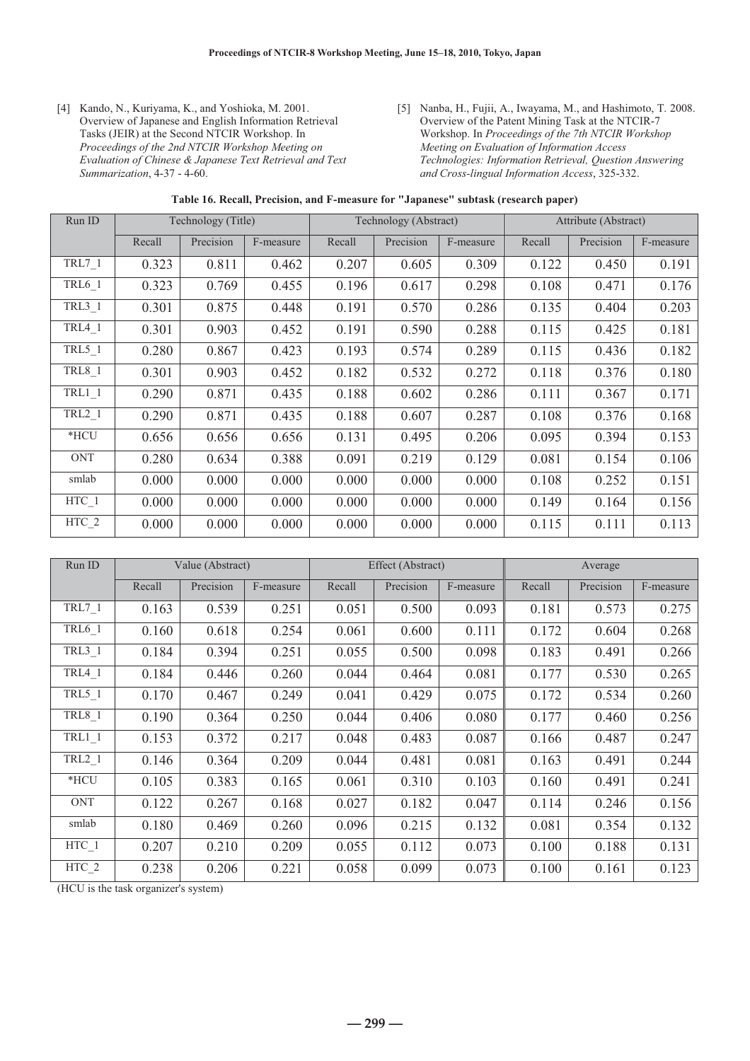- [4] Kando, N., Kuriyama, K., and Yoshioka, M. 2001. Overview of Japanese and English Information Retrieval Tasks (JEIR) at the Second NTCIR Workshop. In *Proceedings of the 2nd NTCIR Workshop Meeting on Evaluation of Chinese & Japanese Text Retrieval and Text Summarization*, 4-37 - 4-60.
- [5] Nanba, H., Fujii, A., Iwayama, M., and Hashimoto, T. 2008. Overview of the Patent Mining Task at the NTCIR-7 Workshop. In *Proceedings of the 7th NTCIR Workshop Meeting on Evaluation of Information Access Technologies: Information Retrieval, Question Answering and Cross-lingual Information Access*, 325-332.

| Run ID        |        | Technology (Title) |           |        | Technology (Abstract) |           | Attribute (Abstract) |           |           |
|---------------|--------|--------------------|-----------|--------|-----------------------|-----------|----------------------|-----------|-----------|
|               | Recall | Precision          | F-measure | Recall | Precision             | F-measure | Recall               | Precision | F-measure |
| $TRL7_1$      | 0.323  | 0.811              | 0.462     | 0.207  | 0.605                 | 0.309     | 0.122                | 0.450     | 0.191     |
| TRL6_1        | 0.323  | 0.769              | 0.455     | 0.196  | 0.617                 | 0.298     | 0.108                | 0.471     | 0.176     |
| TRL3 1        | 0.301  | 0.875              | 0.448     | 0.191  | 0.570                 | 0.286     | 0.135                | 0.404     | 0.203     |
| $TRL4_1$      | 0.301  | 0.903              | 0.452     | 0.191  | 0.590                 | 0.288     | 0.115                | 0.425     | 0.181     |
| $TRL5_1$      | 0.280  | 0.867              | 0.423     | 0.193  | 0.574                 | 0.289     | 0.115                | 0.436     | 0.182     |
| <b>TRL8_1</b> | 0.301  | 0.903              | 0.452     | 0.182  | 0.532                 | 0.272     | 0.118                | 0.376     | 0.180     |
| $TRL1_1$      | 0.290  | 0.871              | 0.435     | 0.188  | 0.602                 | 0.286     | 0.111                | 0.367     | 0.171     |
| TRL2 1        | 0.290  | 0.871              | 0.435     | 0.188  | 0.607                 | 0.287     | 0.108                | 0.376     | 0.168     |
| $*$ HCU       | 0.656  | 0.656              | 0.656     | 0.131  | 0.495                 | 0.206     | 0.095                | 0.394     | 0.153     |
| <b>ONT</b>    | 0.280  | 0.634              | 0.388     | 0.091  | 0.219                 | 0.129     | 0.081                | 0.154     | 0.106     |
| smlab         | 0.000  | 0.000              | 0.000     | 0.000  | 0.000                 | 0.000     | 0.108                | 0.252     | 0.151     |
| $HTC_1$       | 0.000  | 0.000              | 0.000     | 0.000  | 0.000                 | 0.000     | 0.149                | 0.164     | 0.156     |
| HTC 2         | 0.000  | 0.000              | 0.000     | 0.000  | 0.000                 | 0.000     | 0.115                | 0.111     | 0.113     |

| Run ID                        | Value (Abstract) |           |           | Effect (Abstract) |           |           | Average |           |           |
|-------------------------------|------------------|-----------|-----------|-------------------|-----------|-----------|---------|-----------|-----------|
|                               | Recall           | Precision | F-measure | Recall            | Precision | F-measure | Recall  | Precision | F-measure |
| $TRL7_1$                      | 0.163            | 0.539     | 0.251     | 0.051             | 0.500     | 0.093     | 0.181   | 0.573     | 0.275     |
| TRL6_1                        | 0.160            | 0.618     | 0.254     | 0.061             | 0.600     | 0.111     | 0.172   | 0.604     | 0.268     |
| $TRL3_1$                      | 0.184            | 0.394     | 0.251     | 0.055             | 0.500     | 0.098     | 0.183   | 0.491     | 0.266     |
| <b>TRL4 1</b>                 | 0.184            | 0.446     | 0.260     | 0.044             | 0.464     | 0.081     | 0.177   | 0.530     | 0.265     |
| $TRL5_1$                      | 0.170            | 0.467     | 0.249     | 0.041             | 0.429     | 0.075     | 0.172   | 0.534     | 0.260     |
| $TRL8_1$                      | 0.190            | 0.364     | 0.250     | 0.044             | 0.406     | 0.080     | 0.177   | 0.460     | 0.256     |
| $TRL1_1$                      | 0.153            | 0.372     | 0.217     | 0.048             | 0.483     | 0.087     | 0.166   | 0.487     | 0.247     |
| $TRL2_1$                      | 0.146            | 0.364     | 0.209     | 0.044             | 0.481     | 0.081     | 0.163   | 0.491     | 0.244     |
| $*$ HCU                       | 0.105            | 0.383     | 0.165     | 0.061             | 0.310     | 0.103     | 0.160   | 0.491     | 0.241     |
| <b>ONT</b>                    | 0.122            | 0.267     | 0.168     | 0.027             | 0.182     | 0.047     | 0.114   | 0.246     | 0.156     |
| smlab                         | 0.180            | 0.469     | 0.260     | 0.096             | 0.215     | 0.132     | 0.081   | 0.354     | 0.132     |
| HTC 1                         | 0.207            | 0.210     | 0.209     | 0.055             | 0.112     | 0.073     | 0.100   | 0.188     | 0.131     |
| $\overline{HTC}$ <sub>2</sub> | 0.238            | 0.206     | 0.221     | 0.058             | 0.099     | 0.073     | 0.100   | 0.161     | 0.123     |

(HCU is the task organizer's system)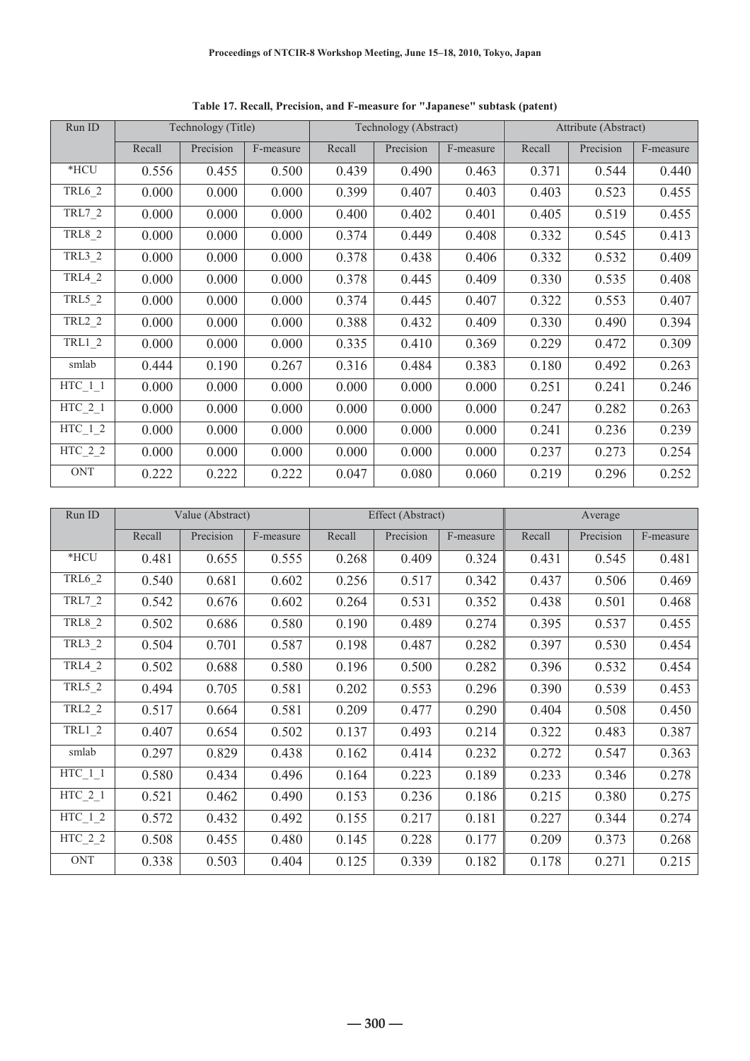| Run ID                      | Technology (Title) |           |           |        | Technology (Abstract) |           | Attribute (Abstract) |           |           |
|-----------------------------|--------------------|-----------|-----------|--------|-----------------------|-----------|----------------------|-----------|-----------|
|                             | Recall             | Precision | F-measure | Recall | Precision             | F-measure | Recall               | Precision | F-measure |
| *HCU                        | 0.556              | 0.455     | 0.500     | 0.439  | 0.490                 | 0.463     | 0.371                | 0.544     | 0.440     |
| <b>TRL6 2</b>               | 0.000              | 0.000     | 0.000     | 0.399  | 0.407                 | 0.403     | 0.403                | 0.523     | 0.455     |
| TRL7_2                      | 0.000              | 0.000     | 0.000     | 0.400  | 0.402                 | 0.401     | 0.405                | 0.519     | 0.455     |
| TRL8_2                      | 0.000              | 0.000     | 0.000     | 0.374  | 0.449                 | 0.408     | 0.332                | 0.545     | 0.413     |
| TRL3_2                      | 0.000              | 0.000     | 0.000     | 0.378  | 0.438                 | 0.406     | 0.332                | 0.532     | 0.409     |
| TRL4_2                      | 0.000              | 0.000     | 0.000     | 0.378  | 0.445                 | 0.409     | 0.330                | 0.535     | 0.408     |
| TRL5_2                      | 0.000              | 0.000     | 0.000     | 0.374  | 0.445                 | 0.407     | 0.322                | 0.553     | 0.407     |
| TRL2_2                      | 0.000              | 0.000     | 0.000     | 0.388  | 0.432                 | 0.409     | 0.330                | 0.490     | 0.394     |
| $TRL1_2$                    | 0.000              | 0.000     | 0.000     | 0.335  | 0.410                 | 0.369     | 0.229                | 0.472     | 0.309     |
| smlab                       | 0.444              | 0.190     | 0.267     | 0.316  | 0.484                 | 0.383     | 0.180                | 0.492     | 0.263     |
| $HTC_1_1$                   | 0.000              | 0.000     | 0.000     | 0.000  | 0.000                 | 0.000     | 0.251                | 0.241     | 0.246     |
| $HTC_2_1$                   | 0.000              | 0.000     | 0.000     | 0.000  | 0.000                 | 0.000     | 0.247                | 0.282     | 0.263     |
| $HTC_1_2$                   | 0.000              | 0.000     | 0.000     | 0.000  | 0.000                 | 0.000     | 0.241                | 0.236     | 0.239     |
| $\text{HTC}_2$ <sub>2</sub> | 0.000              | 0.000     | 0.000     | 0.000  | 0.000                 | 0.000     | 0.237                | 0.273     | 0.254     |
| <b>ONT</b>                  | 0.222              | 0.222     | 0.222     | 0.047  | 0.080                 | 0.060     | 0.219                | 0.296     | 0.252     |

**Table 17. Recall, Precision, and F-measure for "Japanese" subtask (patent)** 

| Run ID            | Value (Abstract) |           |           | Effect (Abstract) |           |           | Average |           |           |
|-------------------|------------------|-----------|-----------|-------------------|-----------|-----------|---------|-----------|-----------|
|                   | Recall           | Precision | F-measure | Recall            | Precision | F-measure | Recall  | Precision | F-measure |
| *HCU              | 0.481            | 0.655     | 0.555     | 0.268             | 0.409     | 0.324     | 0.431   | 0.545     | 0.481     |
| TRL6_2            | 0.540            | 0.681     | 0.602     | 0.256             | 0.517     | 0.342     | 0.437   | 0.506     | 0.469     |
| TRL7_2            | 0.542            | 0.676     | 0.602     | 0.264             | 0.531     | 0.352     | 0.438   | 0.501     | 0.468     |
| TRL8_2            | 0.502            | 0.686     | 0.580     | 0.190             | 0.489     | 0.274     | 0.395   | 0.537     | 0.455     |
| TRL3_2            | 0.504            | 0.701     | 0.587     | 0.198             | 0.487     | 0.282     | 0.397   | 0.530     | 0.454     |
| TRL4_2            | 0.502            | 0.688     | 0.580     | 0.196             | 0.500     | 0.282     | 0.396   | 0.532     | 0.454     |
| TRL5_2            | 0.494            | 0.705     | 0.581     | 0.202             | 0.553     | 0.296     | 0.390   | 0.539     | 0.453     |
| TRL2_2            | 0.517            | 0.664     | 0.581     | 0.209             | 0.477     | 0.290     | 0.404   | 0.508     | 0.450     |
| <b>TRL1 2</b>     | 0.407            | 0.654     | 0.502     | 0.137             | 0.493     | 0.214     | 0.322   | 0.483     | 0.387     |
| smlab             | 0.297            | 0.829     | 0.438     | 0.162             | 0.414     | 0.232     | 0.272   | 0.547     | 0.363     |
| $HTC_1_1$         | 0.580            | 0.434     | 0.496     | 0.164             | 0.223     | 0.189     | 0.233   | 0.346     | 0.278     |
| $HTC_2_1$         | 0.521            | 0.462     | 0.490     | 0.153             | 0.236     | 0.186     | 0.215   | 0.380     | 0.275     |
| $\text{HTC}_{12}$ | 0.572            | 0.432     | 0.492     | 0.155             | 0.217     | 0.181     | 0.227   | 0.344     | 0.274     |
| $HTC_2_2$         | 0.508            | 0.455     | 0.480     | 0.145             | 0.228     | 0.177     | 0.209   | 0.373     | 0.268     |
| <b>ONT</b>        | 0.338            | 0.503     | 0.404     | 0.125             | 0.339     | 0.182     | 0.178   | 0.271     | 0.215     |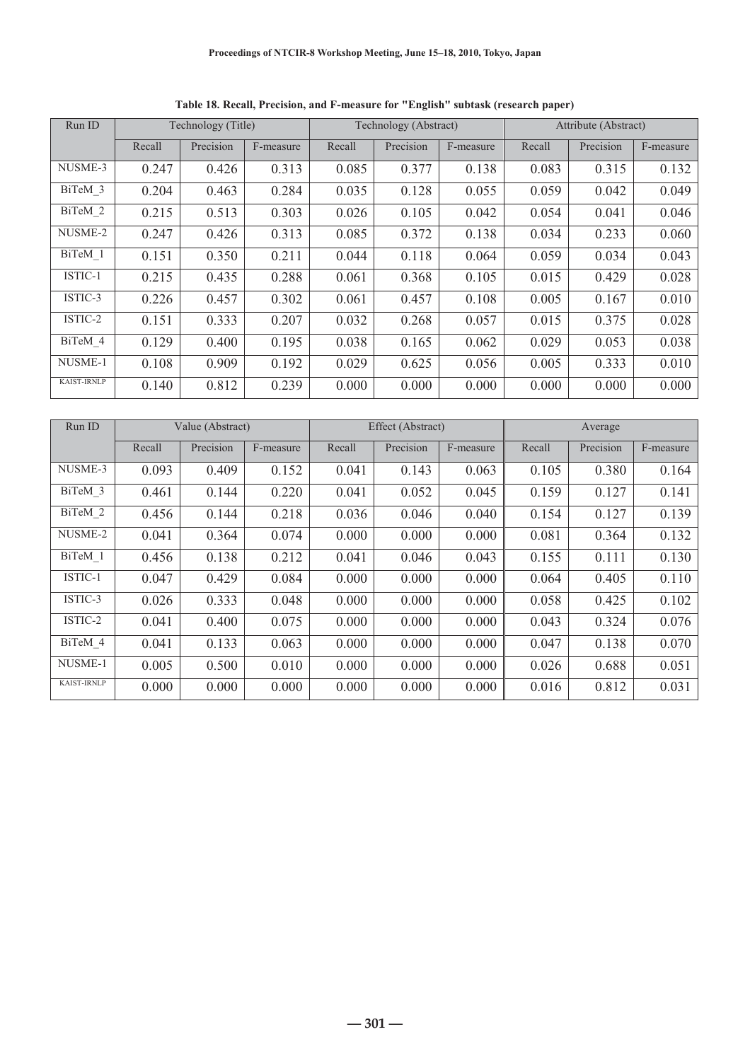| Run ID             | Technology (Title) |           | Technology (Abstract) |        |           | Attribute (Abstract) |        |           |           |
|--------------------|--------------------|-----------|-----------------------|--------|-----------|----------------------|--------|-----------|-----------|
|                    | Recall             | Precision | F-measure             | Recall | Precision | F-measure            | Recall | Precision | F-measure |
| NUSME-3            | 0.247              | 0.426     | 0.313                 | 0.085  | 0.377     | 0.138                | 0.083  | 0.315     | 0.132     |
| BiTeM 3            | 0.204              | 0.463     | 0.284                 | 0.035  | 0.128     | 0.055                | 0.059  | 0.042     | 0.049     |
| BiTeM 2            | 0.215              | 0.513     | 0.303                 | 0.026  | 0.105     | 0.042                | 0.054  | 0.041     | 0.046     |
| NUSME-2            | 0.247              | 0.426     | 0.313                 | 0.085  | 0.372     | 0.138                | 0.034  | 0.233     | 0.060     |
| BiTeM 1            | 0.151              | 0.350     | 0.211                 | 0.044  | 0.118     | 0.064                | 0.059  | 0.034     | 0.043     |
| ISTIC-1            | 0.215              | 0.435     | 0.288                 | 0.061  | 0.368     | 0.105                | 0.015  | 0.429     | 0.028     |
| ISTIC-3            | 0.226              | 0.457     | 0.302                 | 0.061  | 0.457     | 0.108                | 0.005  | 0.167     | 0.010     |
| ISTIC-2            | 0.151              | 0.333     | 0.207                 | 0.032  | 0.268     | 0.057                | 0.015  | 0.375     | 0.028     |
| BiTeM 4            | 0.129              | 0.400     | 0.195                 | 0.038  | 0.165     | 0.062                | 0.029  | 0.053     | 0.038     |
| NUSME-1            | 0.108              | 0.909     | 0.192                 | 0.029  | 0.625     | 0.056                | 0.005  | 0.333     | 0.010     |
| <b>KAIST-IRNLP</b> | 0.140              | 0.812     | 0.239                 | 0.000  | 0.000     | 0.000                | 0.000  | 0.000     | 0.000     |

**Table 18. Recall, Precision, and F-measure for "English" subtask (research paper)** 

| Run ID             | Value (Abstract) |           |           | Effect (Abstract) |           |           | Average |           |           |
|--------------------|------------------|-----------|-----------|-------------------|-----------|-----------|---------|-----------|-----------|
|                    | Recall           | Precision | F-measure | Recall            | Precision | F-measure | Recall  | Precision | F-measure |
| NUSME-3            | 0.093            | 0.409     | 0.152     | 0.041             | 0.143     | 0.063     | 0.105   | 0.380     | 0.164     |
| BiTeM 3            | 0.461            | 0.144     | 0.220     | 0.041             | 0.052     | 0.045     | 0.159   | 0.127     | 0.141     |
| BiTeM 2            | 0.456            | 0.144     | 0.218     | 0.036             | 0.046     | 0.040     | 0.154   | 0.127     | 0.139     |
| NUSME-2            | 0.041            | 0.364     | 0.074     | 0.000             | 0.000     | 0.000     | 0.081   | 0.364     | 0.132     |
| BiTeM 1            | 0.456            | 0.138     | 0.212     | 0.041             | 0.046     | 0.043     | 0.155   | 0.111     | 0.130     |
| ISTIC-1            | 0.047            | 0.429     | 0.084     | 0.000             | 0.000     | 0.000     | 0.064   | 0.405     | 0.110     |
| ISTIC-3            | 0.026            | 0.333     | 0.048     | 0.000             | 0.000     | 0.000     | 0.058   | 0.425     | 0.102     |
| ISTIC-2            | 0.041            | 0.400     | 0.075     | 0.000             | 0.000     | 0.000     | 0.043   | 0.324     | 0.076     |
| BiTeM 4            | 0.041            | 0.133     | 0.063     | 0.000             | 0.000     | 0.000     | 0.047   | 0.138     | 0.070     |
| NUSME-1            | 0.005            | 0.500     | 0.010     | 0.000             | 0.000     | 0.000     | 0.026   | 0.688     | 0.051     |
| <b>KAIST-IRNLP</b> | 0.000            | 0.000     | 0.000     | 0.000             | 0.000     | 0.000     | 0.016   | 0.812     | 0.031     |